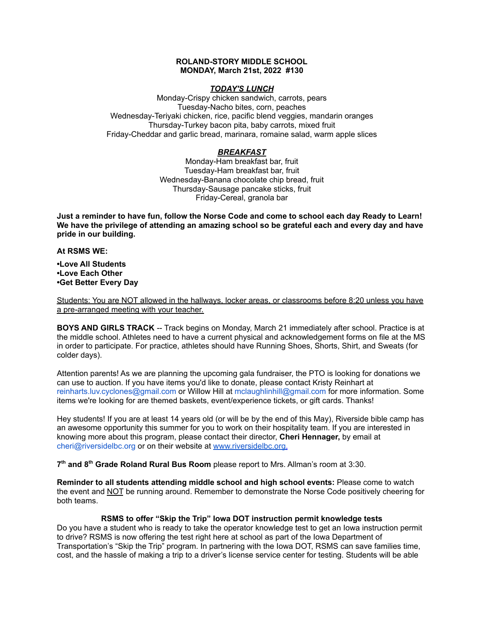## **ROLAND-STORY MIDDLE SCHOOL MONDAY, March 21st, 2022 #130**

## *TODAY'S LUNCH*

Monday-Crispy chicken sandwich, carrots, pears Tuesday-Nacho bites, corn, peaches Wednesday-Teriyaki chicken, rice, pacific blend veggies, mandarin oranges Thursday-Turkey bacon pita, baby carrots, mixed fruit Friday-Cheddar and garlic bread, marinara, romaine salad, warm apple slices

## *BREAKFAST*

Monday-Ham breakfast bar, fruit Tuesday-Ham breakfast bar, fruit Wednesday-Banana chocolate chip bread, fruit Thursday-Sausage pancake sticks, fruit Friday-Cereal, granola bar

Just a reminder to have fun, follow the Norse Code and come to school each day Ready to Learn! **We have the privilege of attending an amazing school so be grateful each and every day and have pride in our building.**

### **At RSMS WE:**

**•Love All Students •Love Each Other •Get Better Every Day**

Students: You are NOT allowed in the hallways, locker areas, or classrooms before 8:20 unless you have a pre-arranged meeting with your teacher.

**BOYS AND GIRLS TRACK** -- Track begins on Monday, March 21 immediately after school. Practice is at the middle school. Athletes need to have a current physical and acknowledgement forms on file at the MS in order to participate. For practice, athletes should have Running Shoes, Shorts, Shirt, and Sweats (for colder days).

Attention parents! As we are planning the upcoming gala fundraiser, the PTO is looking for donations we can use to auction. If you have items you'd like to donate, please contact Kristy Reinhart at reinharts.luv.cyclones@gmail.com or Willow Hill at mclaughlinhill@gmail.com for more information. Some items we're looking for are themed baskets, event/experience tickets, or gift cards. Thanks!

Hey students! If you are at least 14 years old (or will be by the end of this May), Riverside bible camp has an awesome opportunity this summer for you to work on their hospitality team. If you are interested in knowing more about this program, please contact their director, **Cheri Hennager,** by email at cheri@riversidelbc.org or on their website at [www.riversidelbc.org.](http://www.riversidelbc.org/)

**7 th and 8 th Grade Roland Rural Bus Room** please report to Mrs. Allman's room at 3:30.

**Reminder to all students attending middle school and high school events:** Please come to watch the event and NOT be running around. Remember to demonstrate the Norse Code positively cheering for both teams.

# **RSMS to offer "Skip the Trip" Iowa DOT instruction permit knowledge tests**

Do you have a student who is ready to take the operator knowledge test to get an Iowa instruction permit to drive? RSMS is now offering the test right here at school as part of the Iowa Department of Transportation's "Skip the Trip" program. In partnering with the Iowa DOT, RSMS can save families time, cost, and the hassle of making a trip to a driver's license service center for testing. Students will be able